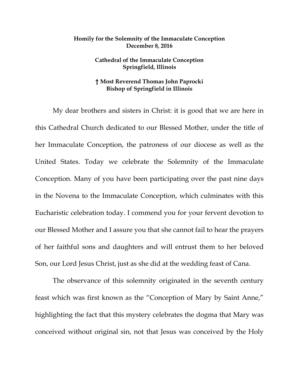## **Homily for the Solemnity of the Immaculate Conception December 8, 2016**

## **Cathedral of the Immaculate Conception Springfield, Illinois**

## **† Most Reverend Thomas John Paprocki Bishop of Springfield in Illinois**

My dear brothers and sisters in Christ: it is good that we are here in this Cathedral Church dedicated to our Blessed Mother, under the title of her Immaculate Conception, the patroness of our diocese as well as the United States. Today we celebrate the Solemnity of the Immaculate Conception. Many of you have been participating over the past nine days in the Novena to the Immaculate Conception, which culminates with this Eucharistic celebration today. I commend you for your fervent devotion to our Blessed Mother and I assure you that she cannot fail to hear the prayers of her faithful sons and daughters and will entrust them to her beloved Son, our Lord Jesus Christ, just as she did at the wedding feast of Cana.

The observance of this solemnity originated in the seventh century feast which was first known as the "Conception of Mary by Saint Anne," highlighting the fact that this mystery celebrates the dogma that Mary was conceived without original sin, not that Jesus was conceived by the Holy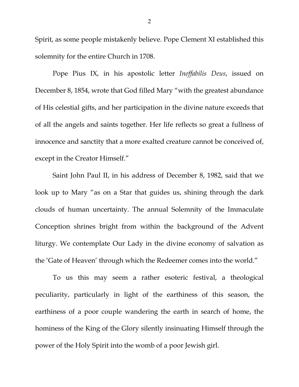Spirit, as some people mistakenly believe. Pope Clement XI established this solemnity for the entire Church in 1708.

Pope Pius IX, in his apostolic letter *Ineffabilis Deus*, issued on December 8, 1854, wrote that God filled Mary "with the greatest abundance of His celestial gifts, and her participation in the divine nature exceeds that of all the angels and saints together. Her life reflects so great a fullness of innocence and sanctity that a more exalted creature cannot be conceived of, except in the Creator Himself."

Saint John Paul II, in his address of December 8, 1982, said that we look up to Mary "as on a Star that guides us, shining through the dark clouds of human uncertainty. The annual Solemnity of the Immaculate Conception shrines bright from within the background of the Advent liturgy. We contemplate Our Lady in the divine economy of salvation as the 'Gate of Heaven' through which the Redeemer comes into the world."

To us this may seem a rather esoteric festival, a theological peculiarity, particularly in light of the earthiness of this season, the earthiness of a poor couple wandering the earth in search of home, the hominess of the King of the Glory silently insinuating Himself through the power of the Holy Spirit into the womb of a poor Jewish girl.

2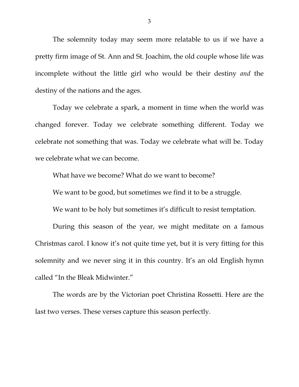The solemnity today may seem more relatable to us if we have a pretty firm image of St. Ann and St. Joachim, the old couple whose life was incomplete without the little girl who would be their destiny *and* the destiny of the nations and the ages.

Today we celebrate a spark, a moment in time when the world was changed forever. Today we celebrate something different. Today we celebrate not something that was. Today we celebrate what will be. Today we celebrate what we can become.

What have we become? What do we want to become?

We want to be good, but sometimes we find it to be a struggle.

We want to be holy but sometimes it's difficult to resist temptation.

During this season of the year, we might meditate on a famous Christmas carol. I know it's not quite time yet, but it is very fitting for this solemnity and we never sing it in this country. It's an old English hymn called "In the Bleak Midwinter."

The words are by the Victorian poet Christina Rossetti. Here are the last two verses. These verses capture this season perfectly.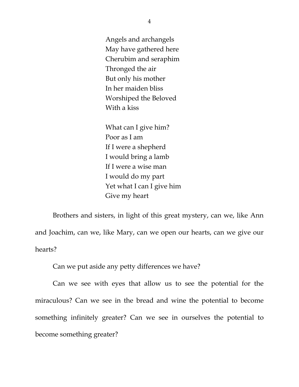Angels and archangels May have gathered here Cherubim and seraphim Thronged the air But only his mother In her maiden bliss Worshiped the Beloved With a kiss

What can I give him? Poor as I am If I were a shepherd I would bring a lamb If I were a wise man I would do my part Yet what I can I give him Give my heart

Brothers and sisters, in light of this great mystery, can we, like Ann and Joachim, can we, like Mary, can we open our hearts, can we give our hearts?

Can we put aside any petty differences we have?

Can we see with eyes that allow us to see the potential for the miraculous? Can we see in the bread and wine the potential to become something infinitely greater? Can we see in ourselves the potential to become something greater?